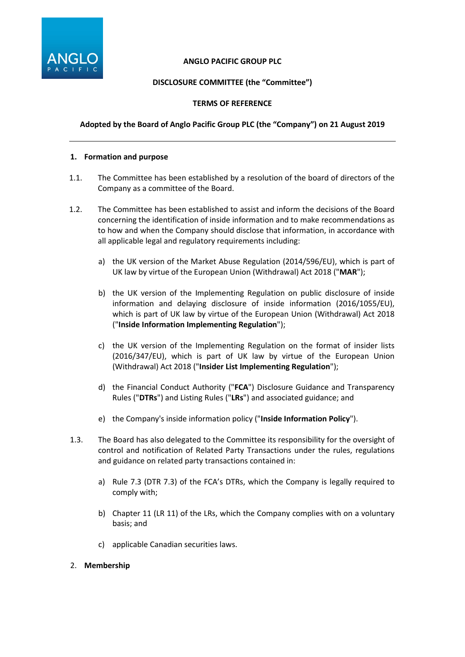

### **ANGLO PACIFIC GROUP PLC**

# **DISCLOSURE COMMITTEE (the "Committee")**

### **TERMS OF REFERENCE**

### **Adopted by the Board of Anglo Pacific Group PLC (the "Company") on 21 August 2019**

#### **1. Formation and purpose**

- 1.1. The Committee has been established by a resolution of the board of directors of the Company as a committee of the Board.
- 1.2. The Committee has been established to assist and inform the decisions of the Board concerning the identification of inside information and to make recommendations as to how and when the Company should disclose that information, in accordance with all applicable legal and regulatory requirements including:
	- a) the UK version of the Market Abuse Regulation (2014/596/EU), which is part of UK law by virtue of the European Union (Withdrawal) Act 2018 ("**MAR**");
	- b) the UK version of the Implementing Regulation on public disclosure of inside information and delaying disclosure of inside information (2016/1055/EU), which is part of UK law by virtue of the European Union (Withdrawal) Act 2018 ("**Inside Information Implementing Regulation**");
	- c) the UK version of the Implementing Regulation on the format of insider lists (2016/347/EU), which is part of UK law by virtue of the European Union (Withdrawal) Act 2018 ("**Insider List Implementing Regulation**");
	- d) the Financial Conduct Authority ("**FCA**") Disclosure Guidance and Transparency Rules ("**DTRs**") and Listing Rules ("**LRs**") and associated guidance; and
	- e) the Company's inside information policy ("**Inside Information Policy**").
- 1.3. The Board has also delegated to the Committee its responsibility for the oversight of control and notification of Related Party Transactions under the rules, regulations and guidance on related party transactions contained in:
	- a) Rule 7.3 (DTR 7.3) of the FCA's DTRs, which the Company is legally required to comply with;
	- b) Chapter 11 (LR 11) of the LRs, which the Company complies with on a voluntary basis; and
	- c) applicable Canadian securities laws.

### 2. **Membership**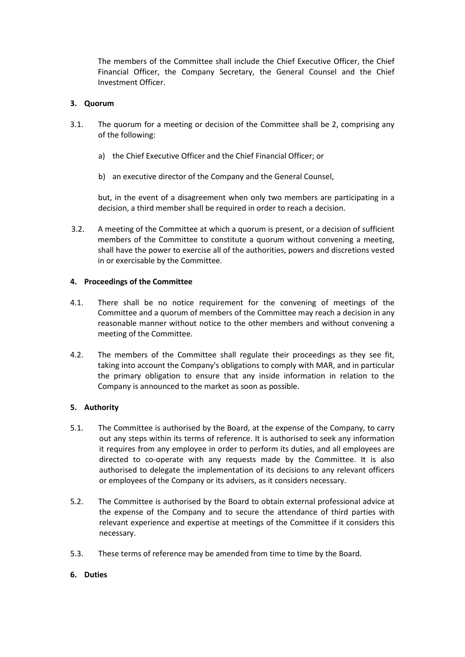The members of the Committee shall include the Chief Executive Officer, the Chief Financial Officer, the Company Secretary, the General Counsel and the Chief Investment Officer.

# **3. Quorum**

- 3.1. The quorum for a meeting or decision of the Committee shall be 2, comprising any of the following:
	- a) the Chief Executive Officer and the Chief Financial Officer; or
	- b) an executive director of the Company and the General Counsel,

but, in the event of a disagreement when only two members are participating in a decision, a third member shall be required in order to reach a decision.

3.2. A meeting of the Committee at which a quorum is present, or a decision of sufficient members of the Committee to constitute a quorum without convening a meeting, shall have the power to exercise all of the authorities, powers and discretions vested in or exercisable by the Committee.

### **4. Proceedings of the Committee**

- 4.1. There shall be no notice requirement for the convening of meetings of the Committee and a quorum of members of the Committee may reach a decision in any reasonable manner without notice to the other members and without convening a meeting of the Committee.
- 4.2. The members of the Committee shall regulate their proceedings as they see fit, taking into account the Company's obligations to comply with MAR, and in particular the primary obligation to ensure that any inside information in relation to the Company is announced to the market as soon as possible.

# **5. Authority**

- 5.1. The Committee is authorised by the Board, at the expense of the Company, to carry out any steps within its terms of reference. It is authorised to seek any information it requires from any employee in order to perform its duties, and all employees are directed to co-operate with any requests made by the Committee. It is also authorised to delegate the implementation of its decisions to any relevant officers or employees of the Company or its advisers, as it considers necessary.
- 5.2. The Committee is authorised by the Board to obtain external professional advice at the expense of the Company and to secure the attendance of third parties with relevant experience and expertise at meetings of the Committee if it considers this necessary.
- 5.3. These terms of reference may be amended from time to time by the Board.

### **6. Duties**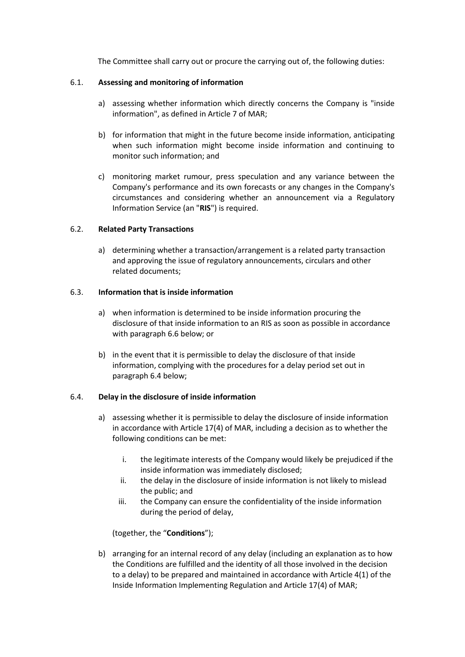The Committee shall carry out or procure the carrying out of, the following duties:

# 6.1. **Assessing and monitoring of information**

- a) assessing whether information which directly concerns the Company is "inside information", as defined in Article 7 of MAR;
- b) for information that might in the future become inside information, anticipating when such information might become inside information and continuing to monitor such information; and
- c) monitoring market rumour, press speculation and any variance between the Company's performance and its own forecasts or any changes in the Company's circumstances and considering whether an announcement via a Regulatory Information Service (an "**RIS**") is required.

# 6.2. **Related Party Transactions**

a) determining whether a transaction/arrangement is a related party transaction and approving the issue of regulatory announcements, circulars and other related documents;

# 6.3. **Information that is inside information**

- a) when information is determined to be inside information procuring the disclosure of that inside information to an RIS as soon as possible in accordance with paragraph 6.6 below; or
- b) in the event that it is permissible to delay the disclosure of that inside information, complying with the procedures for a delay period set out in paragraph 6.4 below;

### 6.4. **Delay in the disclosure of inside information**

- a) assessing whether it is permissible to delay the disclosure of inside information in accordance with Article 17(4) of MAR, including a decision as to whether the following conditions can be met:
	- i. the legitimate interests of the Company would likely be prejudiced if the inside information was immediately disclosed;
	- ii. the delay in the disclosure of inside information is not likely to mislead the public; and
	- iii. the Company can ensure the confidentiality of the inside information during the period of delay,

# (together, the "**Conditions**");

b) arranging for an internal record of any delay (including an explanation as to how the Conditions are fulfilled and the identity of all those involved in the decision to a delay) to be prepared and maintained in accordance with Article 4(1) of the Inside Information Implementing Regulation and Article 17(4) of MAR;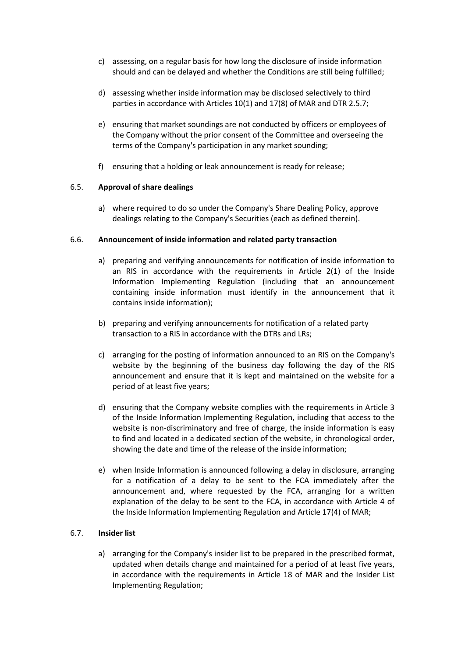- c) assessing, on a regular basis for how long the disclosure of inside information should and can be delayed and whether the Conditions are still being fulfilled;
- d) assessing whether inside information may be disclosed selectively to third parties in accordance with Articles 10(1) and 17(8) of MAR and DTR 2.5.7;
- e) ensuring that market soundings are not conducted by officers or employees of the Company without the prior consent of the Committee and overseeing the terms of the Company's participation in any market sounding;
- f) ensuring that a holding or leak announcement is ready for release;

# 6.5. **Approval of share dealings**

a) where required to do so under the Company's Share Dealing Policy, approve dealings relating to the Company's Securities (each as defined therein).

### 6.6. **Announcement of inside information and related party transaction**

- a) preparing and verifying announcements for notification of inside information to an RIS in accordance with the requirements in Article 2(1) of the Inside Information Implementing Regulation (including that an announcement containing inside information must identify in the announcement that it contains inside information);
- b) preparing and verifying announcements for notification of a related party transaction to a RIS in accordance with the DTRs and LRs;
- c) arranging for the posting of information announced to an RIS on the Company's website by the beginning of the business day following the day of the RIS announcement and ensure that it is kept and maintained on the website for a period of at least five years;
- d) ensuring that the Company website complies with the requirements in Article 3 of the Inside Information Implementing Regulation, including that access to the website is non-discriminatory and free of charge, the inside information is easy to find and located in a dedicated section of the website, in chronological order, showing the date and time of the release of the inside information;
- e) when Inside Information is announced following a delay in disclosure, arranging for a notification of a delay to be sent to the FCA immediately after the announcement and, where requested by the FCA, arranging for a written explanation of the delay to be sent to the FCA, in accordance with Article 4 of the Inside Information Implementing Regulation and Article 17(4) of MAR;

### 6.7. **Insider list**

a) arranging for the Company's insider list to be prepared in the prescribed format, updated when details change and maintained for a period of at least five years, in accordance with the requirements in Article 18 of MAR and the Insider List Implementing Regulation;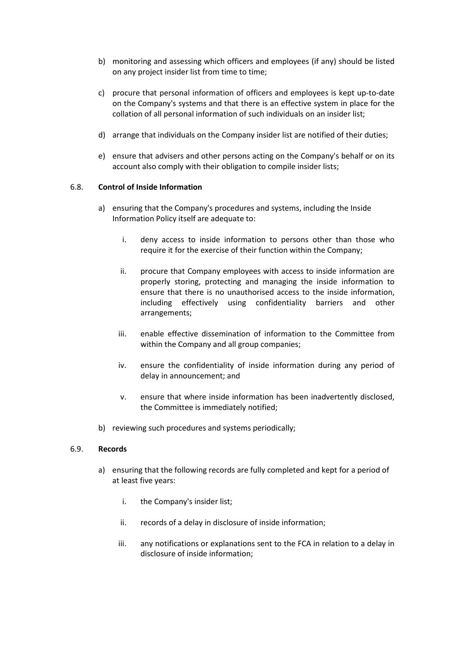- b) monitoring and assessing which officers and employees (if any) should be listed on any project insider list from time to time;
- c) procure that personal information of officers and employees is kept up-to-date on the Company's systems and that there is an effective system in place for the collation of all personal information of such individuals on an insider list;
- d) arrange that individuals on the Company insider list are notified of their duties;
- e) ensure that advisers and other persons acting on the Company's behalf or on its account also comply with their obligation to compile insider lists;

### 6.8. **Control of Inside Information**

- a) ensuring that the Company's procedures and systems, including the Inside Information Policy itself are adequate to:
	- i. deny access to inside information to persons other than those who require it for the exercise of their function within the Company;
	- ii. procure that Company employees with access to inside information are properly storing, protecting and managing the inside information to ensure that there is no unauthorised access to the inside information, including effectively using confidentiality barriers and other arrangements;
	- iii. enable effective dissemination of information to the Committee from within the Company and all group companies;
	- iv. ensure the confidentiality of inside information during any period of delay in announcement; and
	- v. ensure that where inside information has been inadvertently disclosed, the Committee is immediately notified;
- b) reviewing such procedures and systems periodically;

### 6.9. **Records**

- a) ensuring that the following records are fully completed and kept for a period of at least five years:
	- i. the Company's insider list;
	- ii. records of a delay in disclosure of inside information;
	- iii. any notifications or explanations sent to the FCA in relation to a delay in disclosure of inside information;